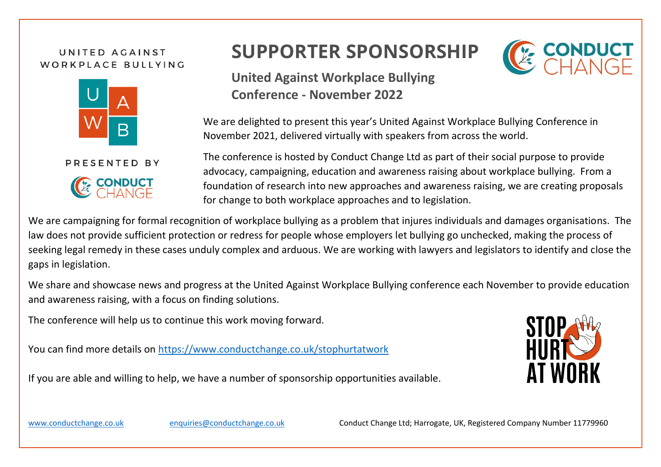## UNITED AGAINST WORKPLACE BULLYING



PRESENTED BY



## **SUPPORTER SPONSORSHIP**



**United Against Workplace Bullying Conference - November 2022**

We are delighted to present this year's United Against Workplace Bullying Conference in November 2021, delivered virtually with speakers from across the world.

The conference is hosted by Conduct Change Ltd as part of their social purpose to provide advocacy, campaigning, education and awareness raising about workplace bullying. From a foundation of research into new approaches and awareness raising, we are creating proposals for change to both workplace approaches and to legislation.

We are campaigning for formal recognition of workplace bullying as a problem that injures individuals and damages organisations. The law does not provide sufficient protection or redress for people whose employers let bullying go unchecked, making the process of seeking legal remedy in these cases unduly complex and arduous. We are working with lawyers and legislators to identify and close the gaps in legislation.

We share and showcase news and progress at the United Against Workplace Bullying conference each November to provide education and awareness raising, with a focus on finding solutions.

The conference will help us to continue this work moving forward.

You can find more details on<https://www.conductchange.co.uk/stophurtatwork>

If you are able and willing to help, we have a number of sponsorship opportunities available.



[www.conductchange.c](http://www.conductchange./)o.uk [enquiries@conductchange.c](mailto:enquiries@conductchange.)o.uk Conduct Change Ltd; Harrogate, UK, Registered Company Number 11779960